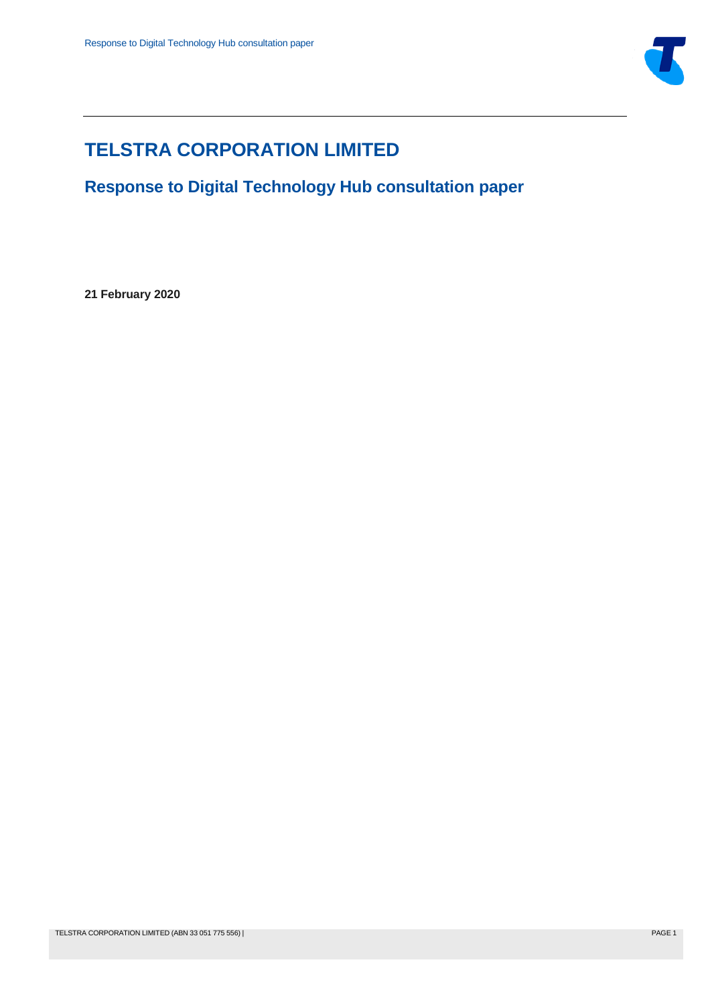

# **TELSTRA CORPORATION LIMITED**

**Response to Digital Technology Hub consultation paper**

**21 February 2020**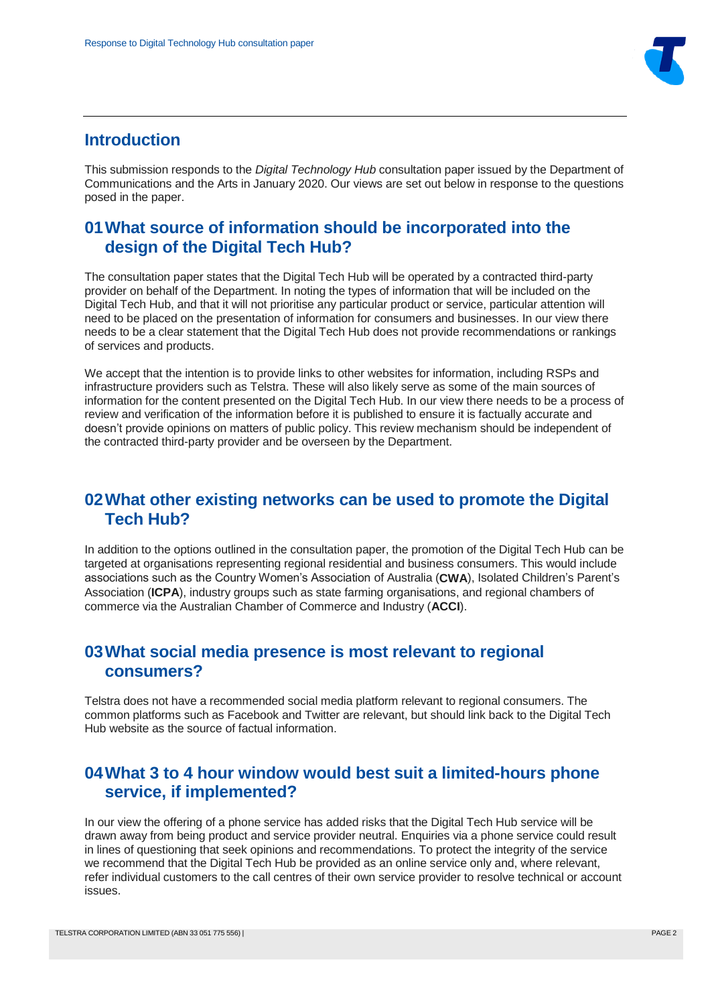

#### **Introduction**

This submission responds to the *Digital Technology Hub* consultation paper issued by the Department of Communications and the Arts in January 2020. Our views are set out below in response to the questions posed in the paper.

## **01What source of information should be incorporated into the design of the Digital Tech Hub?**

The consultation paper states that the Digital Tech Hub will be operated by a contracted third-party provider on behalf of the Department. In noting the types of information that will be included on the Digital Tech Hub, and that it will not prioritise any particular product or service, particular attention will need to be placed on the presentation of information for consumers and businesses. In our view there needs to be a clear statement that the Digital Tech Hub does not provide recommendations or rankings of services and products.

We accept that the intention is to provide links to other websites for information, including RSPs and infrastructure providers such as Telstra. These will also likely serve as some of the main sources of information for the content presented on the Digital Tech Hub. In our view there needs to be a process of review and verification of the information before it is published to ensure it is factually accurate and doesn't provide opinions on matters of public policy. This review mechanism should be independent of the contracted third-party provider and be overseen by the Department.

#### **02What other existing networks can be used to promote the Digital Tech Hub?**

In addition to the options outlined in the consultation paper, the promotion of the Digital Tech Hub can be targeted at organisations representing regional residential and business consumers. This would include associations such as the Country Women's Association of Australia (**CWA**), Isolated Children's Parent's Association (**ICPA**), industry groups such as state farming organisations, and regional chambers of commerce via the Australian Chamber of Commerce and Industry (**ACCI**).

## **03What social media presence is most relevant to regional consumers?**

Telstra does not have a recommended social media platform relevant to regional consumers. The common platforms such as Facebook and Twitter are relevant, but should link back to the Digital Tech Hub website as the source of factual information.

## **04What 3 to 4 hour window would best suit a limited-hours phone service, if implemented?**

In our view the offering of a phone service has added risks that the Digital Tech Hub service will be drawn away from being product and service provider neutral. Enquiries via a phone service could result in lines of questioning that seek opinions and recommendations. To protect the integrity of the service we recommend that the Digital Tech Hub be provided as an online service only and, where relevant, refer individual customers to the call centres of their own service provider to resolve technical or account issues.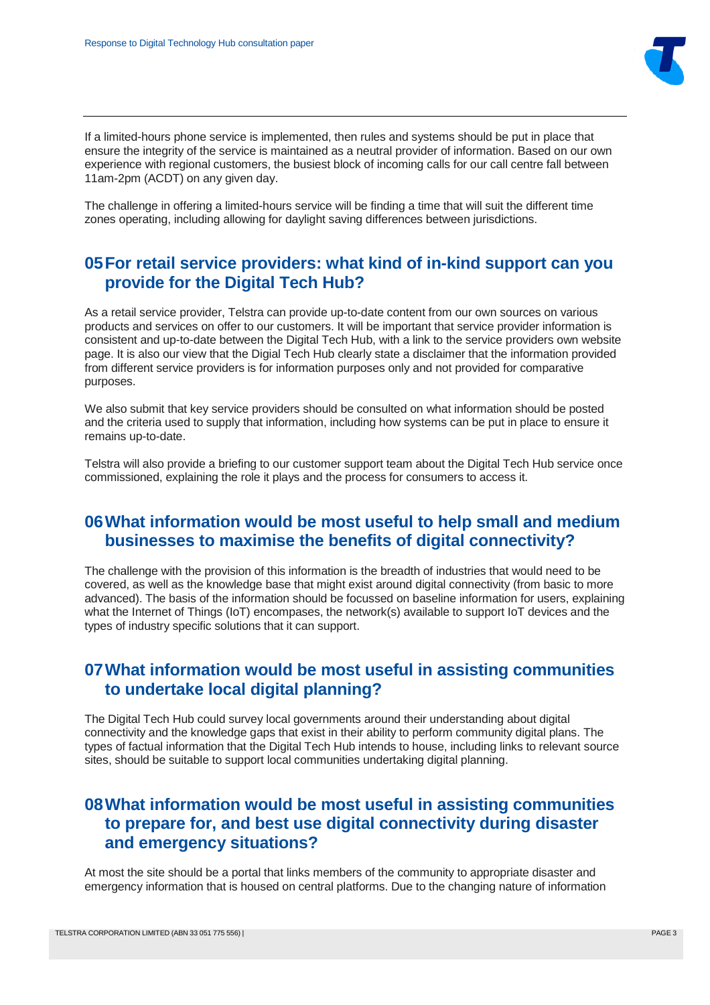

If a limited-hours phone service is implemented, then rules and systems should be put in place that ensure the integrity of the service is maintained as a neutral provider of information. Based on our own experience with regional customers, the busiest block of incoming calls for our call centre fall between 11am-2pm (ACDT) on any given day.

The challenge in offering a limited-hours service will be finding a time that will suit the different time zones operating, including allowing for daylight saving differences between jurisdictions.

#### **05For retail service providers: what kind of in-kind support can you provide for the Digital Tech Hub?**

As a retail service provider, Telstra can provide up-to-date content from our own sources on various products and services on offer to our customers. It will be important that service provider information is consistent and up-to-date between the Digital Tech Hub, with a link to the service providers own website page. It is also our view that the Digial Tech Hub clearly state a disclaimer that the information provided from different service providers is for information purposes only and not provided for comparative purposes.

We also submit that key service providers should be consulted on what information should be posted and the criteria used to supply that information, including how systems can be put in place to ensure it remains up-to-date.

Telstra will also provide a briefing to our customer support team about the Digital Tech Hub service once commissioned, explaining the role it plays and the process for consumers to access it.

## **06What information would be most useful to help small and medium businesses to maximise the benefits of digital connectivity?**

The challenge with the provision of this information is the breadth of industries that would need to be covered, as well as the knowledge base that might exist around digital connectivity (from basic to more advanced). The basis of the information should be focussed on baseline information for users, explaining what the Internet of Things (IoT) encompases, the network(s) available to support IoT devices and the types of industry specific solutions that it can support.

#### **07What information would be most useful in assisting communities to undertake local digital planning?**

The Digital Tech Hub could survey local governments around their understanding about digital connectivity and the knowledge gaps that exist in their ability to perform community digital plans. The types of factual information that the Digital Tech Hub intends to house, including links to relevant source sites, should be suitable to support local communities undertaking digital planning.

## **08What information would be most useful in assisting communities to prepare for, and best use digital connectivity during disaster and emergency situations?**

At most the site should be a portal that links members of the community to appropriate disaster and emergency information that is housed on central platforms. Due to the changing nature of information